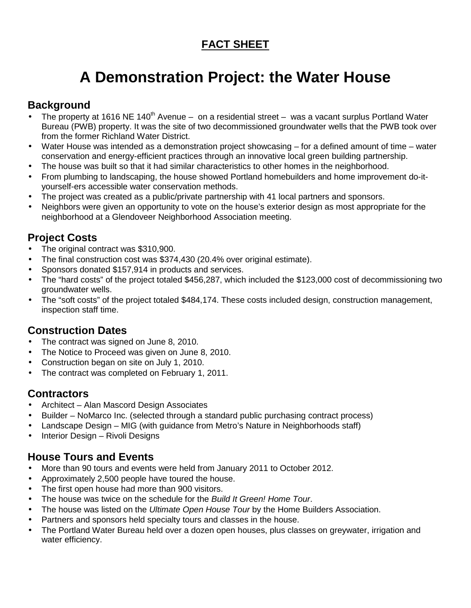## **FACT SHEET**

# **A Demonstration Project: the Water House**

### **Background**

- The property at 1616 NE 140<sup>th</sup> Avenue on a residential street was a vacant surplus Portland Water Bureau (PWB) property. It was the site of two decommissioned groundwater wells that the PWB took over from the former Richland Water District.
- Water House was intended as a demonstration project showcasing for a defined amount of time water conservation and energy-efficient practices through an innovative local green building partnership.
- The house was built so that it had similar characteristics to other homes in the neighborhood.
- From plumbing to landscaping, the house showed Portland homebuilders and home improvement do-ityourself-ers accessible water conservation methods.
- The project was created as a public/private partnership with 41 local partners and sponsors.
- Neighbors were given an opportunity to vote on the house's exterior design as most appropriate for the neighborhood at a Glendoveer Neighborhood Association meeting.

#### **Project Costs**

- The original contract was \$310,900.
- The final construction cost was \$374,430 (20.4% over original estimate).
- Sponsors donated \$157,914 in products and services.
- The "hard costs" of the project totaled \$456,287, which included the \$123,000 cost of decommissioning two groundwater wells.
- The "soft costs" of the project totaled \$484,174. These costs included design, construction management, inspection staff time.

#### **Construction Dates**

- The contract was signed on June 8, 2010.
- The Notice to Proceed was given on June 8, 2010.
- Construction began on site on July 1, 2010.
- The contract was completed on February 1, 2011.

#### **Contractors**

- Architect Alan Mascord Design Associates
- Builder NoMarco Inc. (selected through a standard public purchasing contract process)
- Landscape Design MIG (with guidance from Metro's Nature in Neighborhoods staff)
- Interior Design Rivoli Designs

#### **House Tours and Events**

- More than 90 tours and events were held from January 2011 to October 2012.
- Approximately 2,500 people have toured the house.
- The first open house had more than 900 visitors.
- The house was twice on the schedule for the Build It Green! Home Tour.
- The house was listed on the Ultimate Open House Tour by the Home Builders Association.
- Partners and sponsors held specialty tours and classes in the house.
- The Portland Water Bureau held over a dozen open houses, plus classes on greywater, irrigation and water efficiency.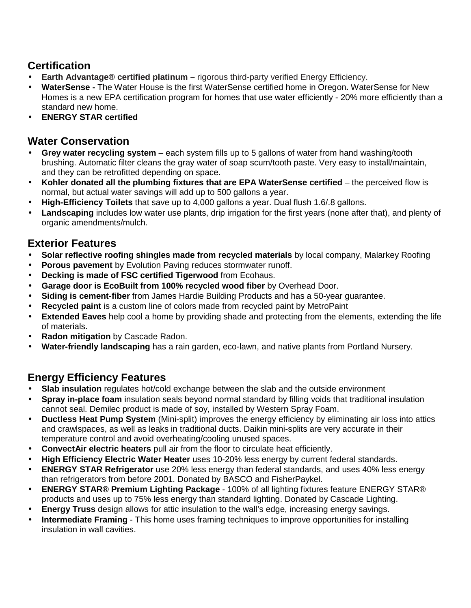#### **Certification**

- **Earth Advantage® certified platinum** rigorous third-party verified Energy Efficiency.
- **WaterSense** The Water House is the first WaterSense certified home in Oregon**.** WaterSense for New Homes is a new EPA certification program for homes that use water efficiently - 20% more efficiently than a standard new home.
- **ENERGY STAR certified**

#### **Water Conservation**

- **Grey water recycling system** each system fills up to 5 gallons of water from hand washing/tooth brushing. Automatic filter cleans the gray water of soap scum/tooth paste. Very easy to install/maintain, and they can be retrofitted depending on space.
- **Kohler donated all the plumbing fixtures that are EPA WaterSense certified** the perceived flow is normal, but actual water savings will add up to 500 gallons a year.
- **High-Efficiency Toilets** that save up to 4,000 gallons a year. Dual flush 1.6/.8 gallons.
- **Landscaping** includes low water use plants, drip irrigation for the first years (none after that), and plenty of organic amendments/mulch.

#### **Exterior Features**

- **Solar reflective roofing shingles made from recycled materials** by local company, Malarkey Roofing
- **Porous pavement** by Evolution Paving reduces stormwater runoff.
- **Decking is made of FSC certified Tigerwood** from Ecohaus.
- **Garage door is EcoBuilt from 100% recycled wood fiber** by Overhead Door.
- **Siding is cement-fiber** from James Hardie Building Products and has a 50-year guarantee.
- **Recycled paint** is a custom line of colors made from recycled paint by MetroPaint
- **Extended Eaves** help cool a home by providing shade and protecting from the elements, extending the life of materials.
- **Radon mitigation** by Cascade Radon.
- **Water-friendly landscaping** has a rain garden, eco-lawn, and native plants from Portland Nursery.

#### **Energy Efficiency Features**

- **Slab insulation** regulates hot/cold exchange between the slab and the outside environment
- **Spray in-place foam** insulation seals beyond normal standard by filling voids that traditional insulation cannot seal. Demilec product is made of soy, installed by Western Spray Foam.
- **Ductless Heat Pump System** (Mini-split) improves the energy efficiency by eliminating air loss into attics and crawlspaces, as well as leaks in traditional ducts. Daikin mini-splits are very accurate in their temperature control and avoid overheating/cooling unused spaces.
- **ConvectAir electric heaters** pull air from the floor to circulate heat efficiently.
- **High Efficiency Electric Water Heater** uses 10-20% less energy by current federal standards.
- **ENERGY STAR Refrigerator** use 20% less energy than federal standards, and uses 40% less energy than refrigerators from before 2001. Donated by BASCO and FisherPaykel.
- **ENERGY STAR® Premium Lighting Package** 100% of all lighting fixtures feature ENERGY STAR® products and uses up to 75% less energy than standard lighting. Donated by Cascade Lighting.
- **Energy Truss** design allows for attic insulation to the wall's edge, increasing energy savings.
- **Intermediate Framing** This home uses framing techniques to improve opportunities for installing insulation in wall cavities.